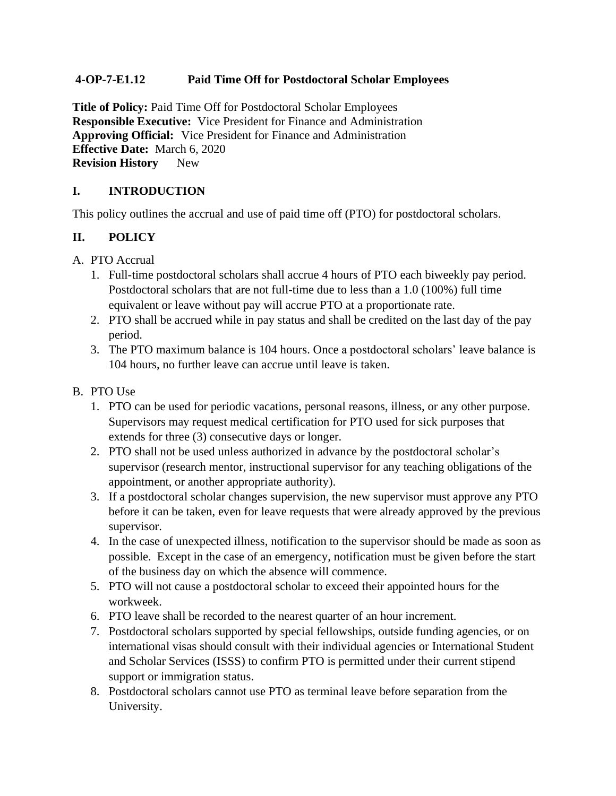### **4-OP-7-E1.12 Paid Time Off for Postdoctoral Scholar Employees**

**Title of Policy:** Paid Time Off for Postdoctoral Scholar Employees **Responsible Executive:** Vice President for Finance and Administration **Approving Official:** Vice President for Finance and Administration **Effective Date:** March 6, 2020 **Revision History** New

# **I. INTRODUCTION**

This policy outlines the accrual and use of paid time off (PTO) for postdoctoral scholars.

# **II. POLICY**

- A. PTO Accrual
	- 1. Full-time postdoctoral scholars shall accrue 4 hours of PTO each biweekly pay period. Postdoctoral scholars that are not full-time due to less than a 1.0 (100%) full time equivalent or leave without pay will accrue PTO at a proportionate rate.
	- 2. PTO shall be accrued while in pay status and shall be credited on the last day of the pay period.
	- 3. The PTO maximum balance is 104 hours. Once a postdoctoral scholars' leave balance is 104 hours, no further leave can accrue until leave is taken.

### B. PTO Use

- 1. PTO can be used for periodic vacations, personal reasons, illness, or any other purpose. Supervisors may request medical certification for PTO used for sick purposes that extends for three (3) consecutive days or longer.
- 2. PTO shall not be used unless authorized in advance by the postdoctoral scholar's supervisor (research mentor, instructional supervisor for any teaching obligations of the appointment, or another appropriate authority).
- 3. If a postdoctoral scholar changes supervision, the new supervisor must approve any PTO before it can be taken, even for leave requests that were already approved by the previous supervisor.
- 4. In the case of unexpected illness, notification to the supervisor should be made as soon as possible. Except in the case of an emergency, notification must be given before the start of the business day on which the absence will commence.
- 5. PTO will not cause a postdoctoral scholar to exceed their appointed hours for the workweek.
- 6. PTO leave shall be recorded to the nearest quarter of an hour increment.
- 7. Postdoctoral scholars supported by special fellowships, outside funding agencies, or on international visas should consult with their individual agencies or International Student and Scholar Services (ISSS) to confirm PTO is permitted under their current stipend support or immigration status.
- 8. Postdoctoral scholars cannot use PTO as terminal leave before separation from the University.